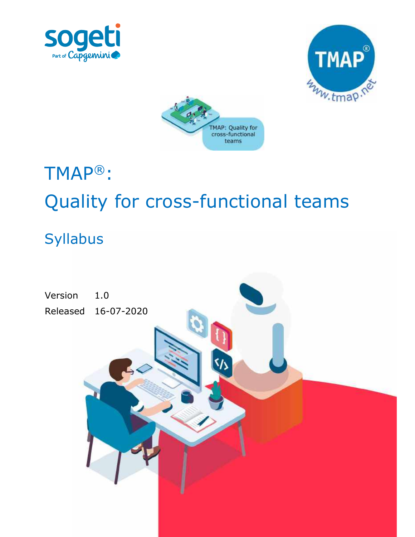





# TMAP®: Quality for cross-functional teams

# Syllabus

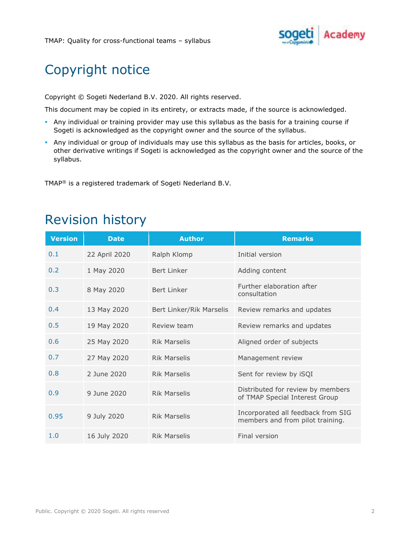

# Copyright notice

Copyright © Sogeti Nederland B.V. 2020. All rights reserved.

This document may be copied in its entirety, or extracts made, if the source is acknowledged.

- Any individual or training provider may use this syllabus as the basis for a training course if Sogeti is acknowledged as the copyright owner and the source of the syllabus.
- Any individual or group of individuals may use this syllabus as the basis for articles, books, or other derivative writings if Sogeti is acknowledged as the copyright owner and the source of the syllabus.

TMAP® is a registered trademark of Sogeti Nederland B.V.

| <b>Version</b> | <b>Date</b>   | <b>Author</b>            | <b>Remarks</b>                                                         |  |  |
|----------------|---------------|--------------------------|------------------------------------------------------------------------|--|--|
| 0.1            | 22 April 2020 | Ralph Klomp              | Initial version                                                        |  |  |
| 0.2            | 1 May 2020    | Bert Linker              | Adding content                                                         |  |  |
| 0.3            | 8 May 2020    | Bert Linker              | Further elaboration after<br>consultation                              |  |  |
| 0.4            | 13 May 2020   | Bert Linker/Rik Marselis | Review remarks and updates                                             |  |  |
| 0.5            | 19 May 2020   | Review team              | Review remarks and updates                                             |  |  |
| 0.6            | 25 May 2020   | <b>Rik Marselis</b>      | Aligned order of subjects                                              |  |  |
| 0.7            | 27 May 2020   | <b>Rik Marselis</b>      | Management review                                                      |  |  |
| 0.8            | 2 June 2020   | <b>Rik Marselis</b>      | Sent for review by iSQI                                                |  |  |
| 0.9            | 9 June 2020   | <b>Rik Marselis</b>      | Distributed for review by members<br>of TMAP Special Interest Group    |  |  |
| 0.95           | 9 July 2020   | <b>Rik Marselis</b>      | Incorporated all feedback from SIG<br>members and from pilot training. |  |  |
| 1.0            | 16 July 2020  | <b>Rik Marselis</b>      | Final version                                                          |  |  |

# Revision history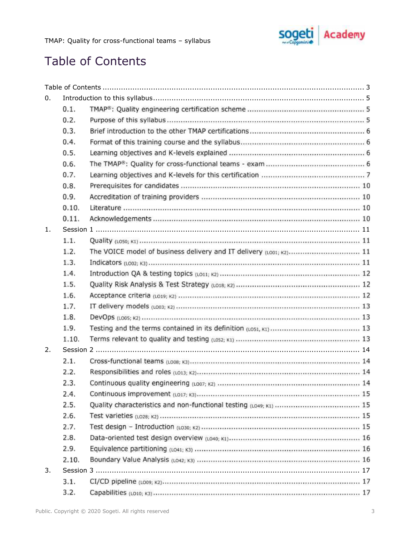

# **Table of Contents**

| 0.                    |       |                                                                    |
|-----------------------|-------|--------------------------------------------------------------------|
|                       | 0.1.  |                                                                    |
|                       | 0.2.  |                                                                    |
|                       | 0.3.  |                                                                    |
|                       | 0.4.  |                                                                    |
|                       | 0.5.  |                                                                    |
|                       | 0.6.  |                                                                    |
|                       | 0.7.  |                                                                    |
|                       | 0.8.  |                                                                    |
|                       | 0.9.  |                                                                    |
|                       | 0.10. |                                                                    |
|                       | 0.11. |                                                                    |
| 1.                    |       |                                                                    |
|                       | 1.1.  |                                                                    |
|                       | 1.2.  | The VOICE model of business delivery and IT delivery (LOO1; K2) 11 |
|                       | 1.3.  |                                                                    |
|                       | 1.4.  |                                                                    |
|                       | 1.5.  |                                                                    |
|                       | 1.6.  |                                                                    |
|                       | 1.7.  |                                                                    |
|                       | 1.8.  |                                                                    |
|                       | 1.9.  |                                                                    |
|                       | 1.10. |                                                                    |
| $\mathcal{P}_{\cdot}$ |       |                                                                    |
|                       | 2.1.  |                                                                    |
|                       | 2.2.  |                                                                    |
|                       | 2.3.  |                                                                    |
|                       | 2.4.  |                                                                    |
|                       | 2.5.  |                                                                    |
|                       | 2.6.  |                                                                    |
|                       | 2.7.  |                                                                    |
|                       | 2.8.  |                                                                    |
|                       | 2.9.  |                                                                    |
|                       | 2.10. |                                                                    |
| 3.                    |       |                                                                    |
|                       | 3.1.  |                                                                    |
|                       | 3.2.  |                                                                    |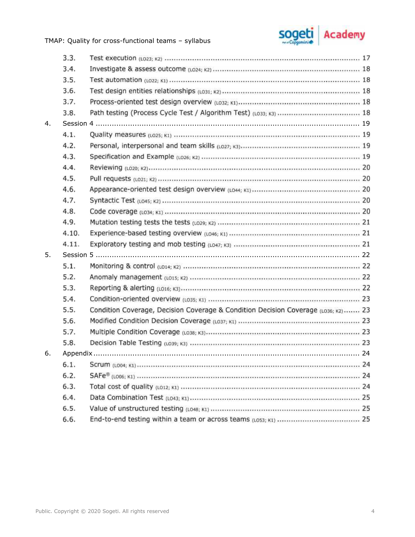TMAP: Quality for cross-functional teams - syllabus



|    | 3.3.  |                                                                                    |  |  |  |
|----|-------|------------------------------------------------------------------------------------|--|--|--|
|    | 3.4.  |                                                                                    |  |  |  |
|    | 3.5.  |                                                                                    |  |  |  |
|    | 3.6.  |                                                                                    |  |  |  |
|    | 3.7.  |                                                                                    |  |  |  |
|    | 3.8.  |                                                                                    |  |  |  |
| 4. |       |                                                                                    |  |  |  |
|    | 4.1.  |                                                                                    |  |  |  |
|    | 4.2.  |                                                                                    |  |  |  |
|    | 4.3.  |                                                                                    |  |  |  |
|    | 4.4.  |                                                                                    |  |  |  |
|    | 4.5.  |                                                                                    |  |  |  |
|    | 4.6.  |                                                                                    |  |  |  |
|    | 4.7.  |                                                                                    |  |  |  |
|    | 4.8.  |                                                                                    |  |  |  |
|    | 4.9.  |                                                                                    |  |  |  |
|    | 4.10. |                                                                                    |  |  |  |
|    | 4.11. |                                                                                    |  |  |  |
| 5. |       |                                                                                    |  |  |  |
|    | 5.1.  |                                                                                    |  |  |  |
|    | 5.2.  |                                                                                    |  |  |  |
|    | 5.3.  |                                                                                    |  |  |  |
|    | 5.4.  |                                                                                    |  |  |  |
|    | 5.5.  | Condition Coverage, Decision Coverage & Condition Decision Coverage (LO36; K2)  23 |  |  |  |
|    | 5.6.  |                                                                                    |  |  |  |
|    | 5.7.  |                                                                                    |  |  |  |
|    | 5.8.  |                                                                                    |  |  |  |
| 6. |       |                                                                                    |  |  |  |
|    | 6.1.  |                                                                                    |  |  |  |
|    | 6.2.  |                                                                                    |  |  |  |
|    | 6.3.  |                                                                                    |  |  |  |
|    | 6.4.  |                                                                                    |  |  |  |
|    | 6.5.  |                                                                                    |  |  |  |
|    | 6.6.  |                                                                                    |  |  |  |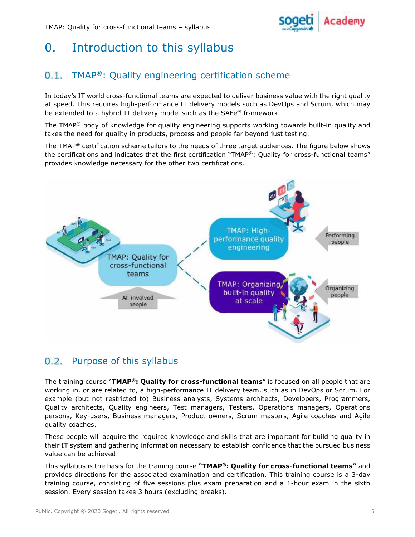

# 0. Introduction to this syllabus

#### $0.1.$ TMAP®: Quality engineering certification scheme

In today's IT world cross-functional teams are expected to deliver business value with the right quality at speed. This requires high-performance IT delivery models such as DevOps and Scrum, which may be extended to a hybrid IT delivery model such as the SAFe® framework.

The TMAP<sup>®</sup> body of knowledge for quality engineering supports working towards built-in quality and takes the need for quality in products, process and people far beyond just testing.

The TMAP<sup>®</sup> certification scheme tailors to the needs of three target audiences. The figure below shows the certifications and indicates that the first certification "TMAP®: Quality for cross-functional teams" provides knowledge necessary for the other two certifications.



## 0.2. Purpose of this syllabus

The training course "TMAP®: Quality for cross-functional teams" is focused on all people that are working in, or are related to, a high-performance IT delivery team, such as in DevOps or Scrum. For example (but not restricted to) Business analysts, Systems architects, Developers, Programmers, Quality architects, Quality engineers, Test managers, Testers, Operations managers, Operations persons, Key-users, Business managers, Product owners, Scrum masters, Agile coaches and Agile quality coaches.

These people will acquire the required knowledge and skills that are important for building quality in their IT system and gathering information necessary to establish confidence that the pursued business value can be achieved.

This syllabus is the basis for the training course "TMAP®: Quality for cross-functional teams" and provides directions for the associated examination and certification. This training course is a 3-day training course, consisting of five sessions plus exam preparation and a 1-hour exam in the sixth session. Every session takes 3 hours (excluding breaks).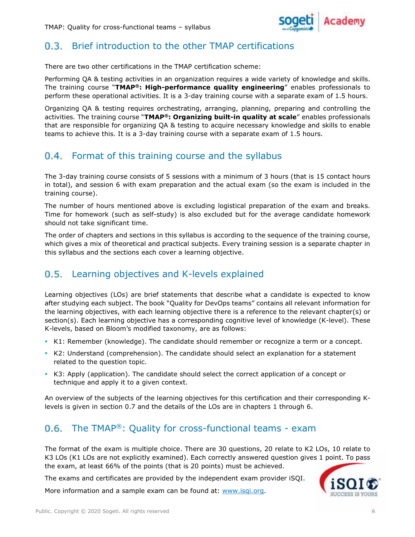

#### $0.3.$ Brief introduction to the other TMAP certifications

There are two other certifications in the TMAP certification scheme:

Performing QA & testing activities in an organization requires a wide variety of knowledge and skills. The training course "TMAP®: High-performance quality engineering" enables professionals to perform these operational activities. It is a 3-day training course with a separate exam of 1.5 hours.

Organizing QA & testing requires orchestrating, arranging, planning, preparing and controlling the activities. The training course "TMAP®: Organizing built-in quality at scale" enables professionals that are responsible for organizing QA & testing to acquire necessary knowledge and skills to enable teams to achieve this. It is a 3-day training course with a separate exam of 1.5 hours.

## 0.4. Format of this training course and the syllabus

The 3-day training course consists of 5 sessions with a minimum of 3 hours (that is 15 contact hours in total), and session 6 with exam preparation and the actual exam (so the exam is included in the training course).

The number of hours mentioned above is excluding logistical preparation of the exam and breaks. Time for homework (such as self-study) is also excluded but for the average candidate homework should not take significant time.

The order of chapters and sections in this syllabus is according to the sequence of the training course, which gives a mix of theoretical and practical subjects. Every training session is a separate chapter in this syllabus and the sections each cover a learning objective.

#### $0.5.$ Learning objectives and K-levels explained

Learning objectives (LOs) are brief statements that describe what a candidate is expected to know after studying each subject. The book "Quality for DevOps teams" contains all relevant information for the learning objectives, with each learning objective there is a reference to the relevant chapter(s) or section(s). Each learning objective has a corresponding cognitive level of knowledge (K-level). These K-levels, based on Bloom's modified taxonomy, are as follows:

- K1: Remember (knowledge). The candidate should remember or recognize a term or a concept.
- K2: Understand (comprehension). The candidate should select an explanation for a statement related to the question topic.
- K3: Apply (application). The candidate should select the correct application of a concept or technique and apply it to a given context.

An overview of the subjects of the learning objectives for this certification and their corresponding Klevels is given in section 0.7 and the details of the LOs are in chapters 1 through 6.

## 0.6. The TMAP®: Quality for cross-functional teams - exam

The format of the exam is multiple choice. There are 30 questions, 20 relate to K2 LOs, 10 relate to K3 LOs (K1 LOs are not explicitly examined). Each correctly answered question gives 1 point. To pass the exam, at least 66% of the points (that is 20 points) must be achieved.

The exams and certificates are provided by the independent exam provider iSQI.

More information and a sample exam can be found at: www.isqi.org.

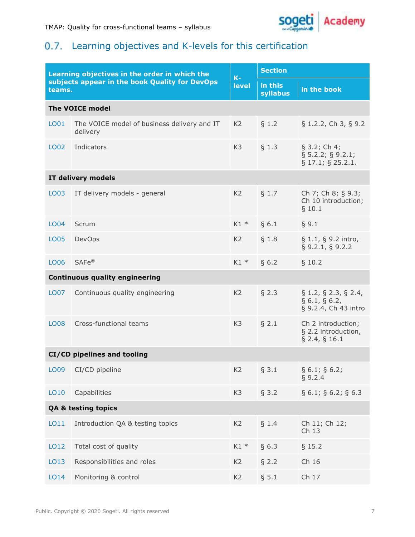

## 0.7. Learning objectives and K-levels for this certification

| Learning objectives in the order in which the<br>subjects appear in the book Quality for DevOps<br>teams. |                                                         | $K-$<br>level  | <b>Section</b>             |                                                                            |  |  |  |
|-----------------------------------------------------------------------------------------------------------|---------------------------------------------------------|----------------|----------------------------|----------------------------------------------------------------------------|--|--|--|
|                                                                                                           |                                                         |                | in this<br><b>syllabus</b> | in the book                                                                |  |  |  |
| <b>The VOICE model</b>                                                                                    |                                                         |                |                            |                                                                            |  |  |  |
| LO01                                                                                                      | The VOICE model of business delivery and IT<br>delivery | K <sub>2</sub> | § 1.2                      | § 1.2.2, Ch 3, § 9.2                                                       |  |  |  |
| LO02                                                                                                      | Indicators                                              |                | $§$ 1.3                    | $\S$ 3.2; Ch 4;<br>$\S$ 5.2.2; § 9.2.1;<br>$\S$ 17.1; $\S$ 25.2.1.         |  |  |  |
| IT delivery models                                                                                        |                                                         |                |                            |                                                                            |  |  |  |
| LO03                                                                                                      | IT delivery models - general                            |                | § 1.7                      | Ch 7; Ch 8; § 9.3;<br>Ch 10 introduction;<br>§ 10.1                        |  |  |  |
| LO04                                                                                                      | Scrum                                                   | $K1$ *         | § 6.1                      | § 9.1                                                                      |  |  |  |
| LO05                                                                                                      | DevOps                                                  |                | § 1.8                      | $\S 1.1, \S 9.2$ intro,<br>$\S$ 9.2.1, § 9.2.2                             |  |  |  |
| LO06                                                                                                      | SAFe <sup>®</sup>                                       |                | § 6.2                      | § 10.2                                                                     |  |  |  |
| <b>Continuous quality engineering</b>                                                                     |                                                         |                |                            |                                                                            |  |  |  |
| LO07                                                                                                      | Continuous quality engineering                          |                | § 2.3                      | $\S$ 1.2, $\S$ 2.3, $\S$ 2.4,<br>$\S 6.1, \S 6.2,$<br>§ 9.2.4, Ch 43 intro |  |  |  |
| <b>LO08</b>                                                                                               | Cross-functional teams                                  |                | $\S$ 2.1                   | Ch 2 introduction;<br>§ 2.2 introduction,<br>$\S$ 2.4, $\S$ 16.1           |  |  |  |
| CI/CD pipelines and tooling                                                                               |                                                         |                |                            |                                                                            |  |  |  |
| LO09                                                                                                      | CI/CD pipeline                                          | K <sub>2</sub> | § 3.1                      | $\S 6.1; \S 6.2;$<br>§ 9.2.4                                               |  |  |  |
| LO10                                                                                                      | Capabilities                                            | K <sub>3</sub> | § 3.2                      | $\S 6.1; \S 6.2; \S 6.3$                                                   |  |  |  |
| <b>QA &amp; testing topics</b>                                                                            |                                                         |                |                            |                                                                            |  |  |  |
| LO11                                                                                                      | Introduction QA & testing topics                        | K <sub>2</sub> | § 1.4                      | Ch 11; Ch 12;<br>Ch 13                                                     |  |  |  |
| LO12                                                                                                      | Total cost of quality                                   | $K1*$          | § 6.3                      | § 15.2                                                                     |  |  |  |
| LO13                                                                                                      | Responsibilities and roles                              |                | § 2.2                      | Ch 16                                                                      |  |  |  |
| LO14                                                                                                      | Monitoring & control                                    | K <sub>2</sub> | § 5.1                      | Ch 17                                                                      |  |  |  |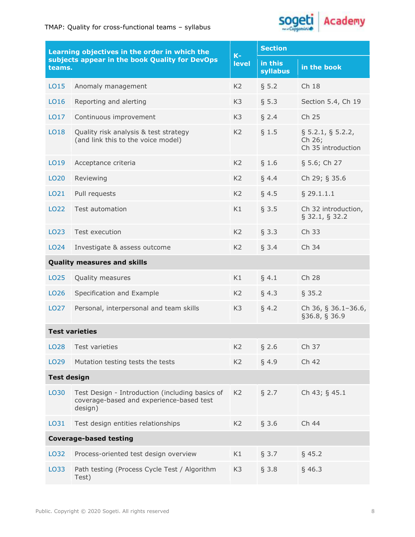

| Learning objectives in the order in which the<br>subjects appear in the book Quality for DevOps<br>teams. |                                                                                                        | $K-$<br><b>level</b> | <b>Section</b>      |                                                      |  |  |
|-----------------------------------------------------------------------------------------------------------|--------------------------------------------------------------------------------------------------------|----------------------|---------------------|------------------------------------------------------|--|--|
|                                                                                                           |                                                                                                        |                      | in this<br>syllabus | in the book                                          |  |  |
| LO15                                                                                                      | Anomaly management                                                                                     | K <sub>2</sub>       | § 5.2               | Ch 18                                                |  |  |
| LO16                                                                                                      | Reporting and alerting                                                                                 | K <sub>3</sub>       | § 5.3               | Section 5.4, Ch 19                                   |  |  |
| LO17                                                                                                      | Continuous improvement                                                                                 | K <sub>3</sub>       | § 2.4               | Ch 25                                                |  |  |
| LO18                                                                                                      | Quality risk analysis & test strategy<br>(and link this to the voice model)                            | K <sub>2</sub>       | $§$ 1.5             | $\S$ 5.2.1, § 5.2.2,<br>Ch 26;<br>Ch 35 introduction |  |  |
| LO19                                                                                                      | Acceptance criteria                                                                                    |                      | § 1.6               | § 5.6; Ch 27                                         |  |  |
| LO <sub>20</sub>                                                                                          | Reviewing                                                                                              | K <sub>2</sub>       | § 4.4               | Ch 29; § 35.6                                        |  |  |
| LO21                                                                                                      | Pull requests                                                                                          | K <sub>2</sub>       | § 4.5               | $§$ 29.1.1.1                                         |  |  |
| LO22                                                                                                      | Test automation                                                                                        | K1                   | § 3.5               | Ch 32 introduction,<br>$\S$ 32.1, § 32.2             |  |  |
| LO23                                                                                                      | Test execution                                                                                         | K <sub>2</sub>       | § 3.3               | Ch 33                                                |  |  |
| LO <sub>24</sub>                                                                                          | Investigate & assess outcome                                                                           | K <sub>2</sub>       | § 3.4               | Ch 34                                                |  |  |
| <b>Quality measures and skills</b>                                                                        |                                                                                                        |                      |                     |                                                      |  |  |
| LO <sub>25</sub>                                                                                          | Quality measures                                                                                       | K1                   | § 4.1               | Ch 28                                                |  |  |
| LO <sub>26</sub>                                                                                          | Specification and Example                                                                              | K <sub>2</sub>       | § 4.3               | § 35.2                                               |  |  |
| LO <sub>27</sub>                                                                                          | Personal, interpersonal and team skills                                                                |                      | § 4.2               | Ch 36, § 36.1-36.6,<br>§36.8, § 36.9                 |  |  |
| <b>Test varieties</b>                                                                                     |                                                                                                        |                      |                     |                                                      |  |  |
|                                                                                                           | LO28 Test varieties                                                                                    |                      | § 2.6               | Ch 37                                                |  |  |
| LO <sub>29</sub>                                                                                          | Mutation testing tests the tests                                                                       |                      | § 4.9               | Ch 42                                                |  |  |
| <b>Test design</b>                                                                                        |                                                                                                        |                      |                     |                                                      |  |  |
| LO30                                                                                                      | Test Design - Introduction (including basics of<br>coverage-based and experience-based test<br>design) | K <sub>2</sub>       | $§$ 2.7             | Ch 43; § 45.1                                        |  |  |
| LO31                                                                                                      | Test design entities relationships                                                                     | K <sub>2</sub>       | § 3.6               | Ch 44                                                |  |  |
|                                                                                                           | <b>Coverage-based testing</b>                                                                          |                      |                     |                                                      |  |  |
| LO32                                                                                                      | Process-oriented test design overview                                                                  | K1                   | § 3.7               | $§$ 45.2                                             |  |  |
| LO33                                                                                                      | Path testing (Process Cycle Test / Algorithm<br>Test)                                                  | K <sub>3</sub>       | § 3.8               | $§$ 46.3                                             |  |  |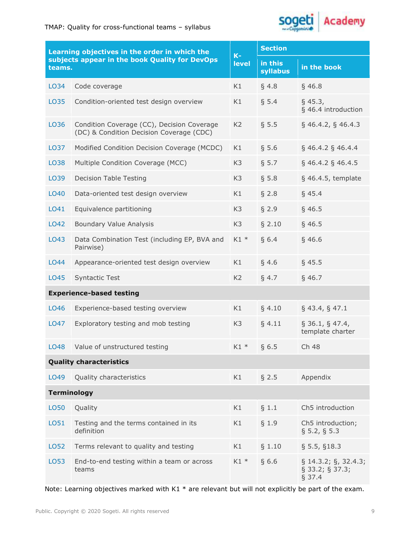

| Learning objectives in the order in which the<br>subjects appear in the book Quality for DevOps<br>teams. |                                                                                        | $K-$<br><b>level</b> | <b>Section</b>      |                                                             |  |
|-----------------------------------------------------------------------------------------------------------|----------------------------------------------------------------------------------------|----------------------|---------------------|-------------------------------------------------------------|--|
|                                                                                                           |                                                                                        |                      | in this<br>syllabus | in the book                                                 |  |
| LO34                                                                                                      | Code coverage                                                                          | K1                   | § 4.8               | $§$ 46.8                                                    |  |
| LO35                                                                                                      | Condition-oriented test design overview                                                | K1                   | § 5.4               | $§$ 45.3,<br>§ 46.4 introduction                            |  |
| LO36                                                                                                      | Condition Coverage (CC), Decision Coverage<br>(DC) & Condition Decision Coverage (CDC) | K <sub>2</sub>       | § 5.5               | $§$ 46.4.2, § 46.4.3                                        |  |
| LO37                                                                                                      | Modified Condition Decision Coverage (MCDC)                                            |                      | § 5.6               | $§$ 46.4.2 § 46.4.4                                         |  |
| LO38                                                                                                      | Multiple Condition Coverage (MCC)                                                      |                      | § 5.7               | $\S$ 46.4.2 $\S$ 46.4.5                                     |  |
| LO39                                                                                                      | <b>Decision Table Testing</b>                                                          |                      | § 5.8               | $§$ 46.4.5, template                                        |  |
| LO40                                                                                                      | Data-oriented test design overview                                                     |                      | § 2.8               | $§$ 45.4                                                    |  |
| LO41                                                                                                      | Equivalence partitioning                                                               |                      | $§$ 2.9             | $§$ 46.5                                                    |  |
| LO42                                                                                                      | Boundary Value Analysis                                                                | K <sub>3</sub>       | § 2.10              | $§$ 46.5                                                    |  |
| LO43                                                                                                      | Data Combination Test (including EP, BVA and<br>Pairwise)                              | $K1$ *               | § 6.4               | $§$ 46.6                                                    |  |
| LO44                                                                                                      | Appearance-oriented test design overview                                               | K1                   | § 4.6               | $§$ 45.5                                                    |  |
| LO45                                                                                                      | <b>Syntactic Test</b>                                                                  | K <sub>2</sub>       | § 4.7               | $§$ 46.7                                                    |  |
| <b>Experience-based testing</b>                                                                           |                                                                                        |                      |                     |                                                             |  |
| LO46                                                                                                      | Experience-based testing overview                                                      | K1                   | $§$ 4.10            | $§$ 43.4, § 47.1                                            |  |
| LO47                                                                                                      | Exploratory testing and mob testing                                                    | K <sub>3</sub>       | § 4.11              | $\S$ 36.1, § 47.4,<br>template charter                      |  |
|                                                                                                           | LO48 Value of unstructured testing                                                     | $K1 *$ § 6.5         |                     | Ch 48                                                       |  |
| <b>Quality characteristics</b>                                                                            |                                                                                        |                      |                     |                                                             |  |
| LO49                                                                                                      | Quality characteristics                                                                | K1                   | $§$ 2.5             | Appendix                                                    |  |
| <b>Terminology</b>                                                                                        |                                                                                        |                      |                     |                                                             |  |
| LO50                                                                                                      | Quality                                                                                | K1                   | § 1.1               | Ch5 introduction                                            |  |
| LO51                                                                                                      | Testing and the terms contained in its<br>definition                                   | K1                   | $§$ 1.9             | Ch5 introduction;<br>$\S$ 5.2, § 5.3                        |  |
| LO52                                                                                                      | Terms relevant to quality and testing                                                  | K1                   | § 1.10              | § 5.5, § 18.3                                               |  |
| LO53                                                                                                      | End-to-end testing within a team or across<br>teams                                    | $K1*$                | §6.6                | $\S$ 14.3.2; $\S$ , 32.4.3;<br>$\S$ 33.2; § 37.3;<br>§ 37.4 |  |

Note: Learning objectives marked with K1 \* are relevant but will not explicitly be part of the exam.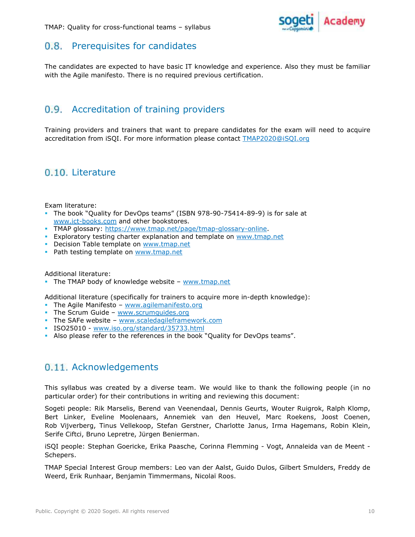

## 0.8. Prerequisites for candidates

The candidates are expected to have basic IT knowledge and experience. Also they must be familiar with the Agile manifesto. There is no required previous certification.

## 0.9. Accreditation of training providers

Training providers and trainers that want to prepare candidates for the exam will need to acquire accreditation from iSQI. For more information please contact **TMAP2020@iSQI.org**<br>0.10. Literature

Exam literature:

- The book "Quality for DevOps teams" (ISBN 978-90-75414-89-9) is for sale at www.ict-books.com and other bookstores.
- **TMAP glossary: https://www.tmap.net/page/tmap-glossary-online.**
- **Exploratory testing charter explanation and template on www.tmap.net**
- **Decision Table template on www.tmap.net**
- **Path testing template on www.tmap.net<br>Additional literature:**

The TMAP body of knowledge website – www.tmap.net

Additional literature (specifically for trainers to acquire more in-depth knowledge):

- The Agile Manifesto www.agilemanifesto.org
- The Scrum Guide  $www.scrumquides.org$
- The SAFe website www.scaledagileframework.com
- ISO25010 www.iso.org/standard/35733.html
- Also please refer to the references in the book "Quality for DevOps teams".

#### 0.11. Acknowledgements

This syllabus was created by a diverse team. We would like to thank the following people (in no particular order) for their contributions in writing and reviewing this document:

Sogeti people: Rik Marselis, Berend van Veenendaal, Dennis Geurts, Wouter Ruigrok, Ralph Klomp, Bert Linker, Eveline Moolenaars, Annemiek van den Heuvel, Marc Roekens, Joost Coenen, Rob Vijverberg, Tinus Vellekoop, Stefan Gerstner, Charlotte Janus, Irma Hagemans, Robin Klein, Serife Ciftci, Bruno Lepretre, Jürgen Benierman.

iSQI people: Stephan Goericke, Erika Paasche, Corinna Flemming - Vogt, Annaleida van de Meent - Schepers.

TMAP Special Interest Group members: Leo van der Aalst, Guido Dulos, Gilbert Smulders, Freddy de Weerd, Erik Runhaar, Benjamin Timmermans, Nicolaï Roos.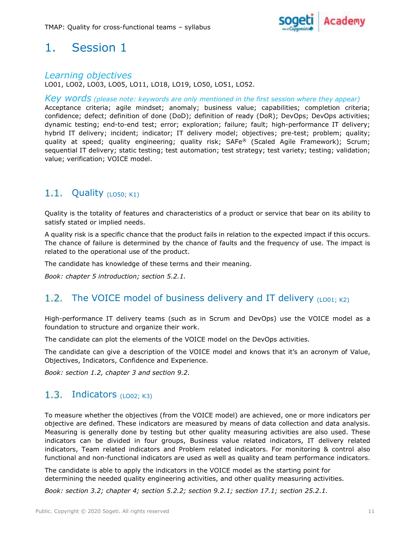

#### Learning objectives

LO01, LO02, LO03, LO05, LO11, LO18, LO19, LO50, LO51, LO52.

Key words (please note: keywords are only mentioned in the first session where they appear)

Acceptance criteria; agile mindset; anomaly; business value; capabilities; completion criteria; confidence; defect; definition of done (DoD); definition of ready (DoR); DevOps; DevOps activities; dynamic testing; end-to-end test; error; exploration; failure; fault; high-performance IT delivery; hybrid IT delivery; incident; indicator; IT delivery model; objectives; pre-test; problem; quality; quality at speed; quality engineering; quality risk; SAFe® (Scaled Agile Framework); Scrum; sequential IT delivery; static testing; test automation; test strategy; test variety; testing; validation; value; verification; VOICE model.

## 1.1. Quality  $(L050; K1)$

Quality is the totality of features and characteristics of a product or service that bear on its ability to satisfy stated or implied needs.

A quality risk is a specific chance that the product fails in relation to the expected impact if this occurs. The chance of failure is determined by the chance of faults and the frequency of use. The impact is related to the operational use of the product.

The candidate has knowledge of these terms and their meaning.

Book: chapter 5 introduction; section 5.2.1.

## 1.2. The VOICE model of business delivery and IT delivery  $(LOO1; K2)$

High-performance IT delivery teams (such as in Scrum and DevOps) use the VOICE model as a foundation to structure and organize their work.

The candidate can plot the elements of the VOICE model on the DevOps activities.

The candidate can give a description of the VOICE model and knows that it's an acronym of Value, Objectives, Indicators, Confidence and Experience.

Book: section 1.2, chapter 3 and section 9.2.

#### $1.3.$ Indicators  $(L002; K3)$

To measure whether the objectives (from the VOICE model) are achieved, one or more indicators per objective are defined. These indicators are measured by means of data collection and data analysis. Measuring is generally done by testing but other quality measuring activities are also used. These indicators can be divided in four groups, Business value related indicators, IT delivery related indicators, Team related indicators and Problem related indicators. For monitoring & control also functional and non-functional indicators are used as well as quality and team performance indicators.

The candidate is able to apply the indicators in the VOICE model as the starting point for determining the needed quality engineering activities, and other quality measuring activities.

Book: section 3.2; chapter 4; section 5.2.2; section 9.2.1; section 17.1; section 25.2.1.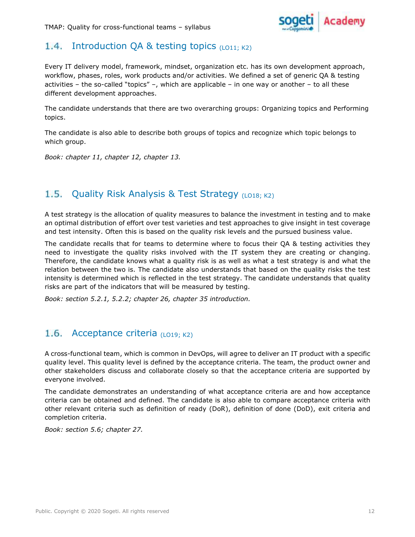

## 1.4. Introduction QA & testing topics  $(L011; K2)$

Every IT delivery model, framework, mindset, organization etc. has its own development approach, workflow, phases, roles, work products and/or activities. We defined a set of generic QA & testing activities – the so-called "topics" –, which are applicable – in one way or another – to all these different development approaches.

The candidate understands that there are two overarching groups: Organizing topics and Performing topics.

The candidate is also able to describe both groups of topics and recognize which topic belongs to which group.

Book: chapter 11, chapter 12, chapter 13.

#### $1.5.$ Quality Risk Analysis & Test Strategy (LO18; K2)

A test strategy is the allocation of quality measures to balance the investment in testing and to make an optimal distribution of effort over test varieties and test approaches to give insight in test coverage and test intensity. Often this is based on the quality risk levels and the pursued business value.

The candidate recalls that for teams to determine where to focus their QA & testing activities they need to investigate the quality risks involved with the IT system they are creating or changing. Therefore, the candidate knows what a quality risk is as well as what a test strategy is and what the relation between the two is. The candidate also understands that based on the quality risks the test intensity is determined which is reflected in the test strategy. The candidate understands that quality risks are part of the indicators that will be measured by testing.

Book: section 5.2.1, 5.2.2; chapter 26, chapter 35 introduction.

## 1.6. Acceptance criteria  $(LO19; K2)$

A cross-functional team, which is common in DevOps, will agree to deliver an IT product with a specific quality level. This quality level is defined by the acceptance criteria. The team, the product owner and other stakeholders discuss and collaborate closely so that the acceptance criteria are supported by everyone involved.

The candidate demonstrates an understanding of what acceptance criteria are and how acceptance criteria can be obtained and defined. The candidate is also able to compare acceptance criteria with other relevant criteria such as definition of ready (DoR), definition of done (DoD), exit criteria and completion criteria.

Book: section 5.6; chapter 27.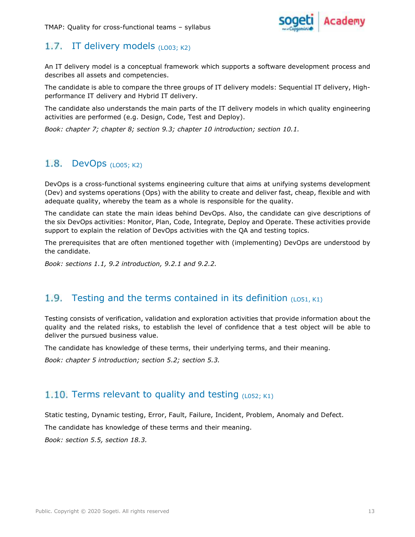

## 1.7. IT delivery models  $(L003; K2)$

An IT delivery model is a conceptual framework which supports a software development process and describes all assets and competencies.

The candidate is able to compare the three groups of IT delivery models: Sequential IT delivery, Highperformance IT delivery and Hybrid IT delivery.

The candidate also understands the main parts of the IT delivery models in which quality engineering activities are performed (e.g. Design, Code, Test and Deploy).

Book: chapter 7; chapter 8; section 9.3; chapter 10 introduction; section 10.1.

## 1.8. DevOps  $(L005; K2)$

DevOps is a cross-functional systems engineering culture that aims at unifying systems development (Dev) and systems operations (Ops) with the ability to create and deliver fast, cheap, flexible and with adequate quality, whereby the team as a whole is responsible for the quality.

The candidate can state the main ideas behind DevOps. Also, the candidate can give descriptions of the six DevOps activities: Monitor, Plan, Code, Integrate, Deploy and Operate. These activities provide support to explain the relation of DevOps activities with the QA and testing topics.

The prerequisites that are often mentioned together with (implementing) DevOps are understood by the candidate.

Book: sections 1.1, 9.2 introduction, 9.2.1 and 9.2.2.

#### 1.9. Testing and the terms contained in its definition  $(L051, K1)$

Testing consists of verification, validation and exploration activities that provide information about the quality and the related risks, to establish the level of confidence that a test object will be able to deliver the pursued business value.

The candidate has knowledge of these terms, their underlying terms, and their meaning.

Book: chapter 5 introduction; section 5.2; section 5.3.

#### 1.10. Terms relevant to quality and testing  $(L052; K1)$

Static testing, Dynamic testing, Error, Fault, Failure, Incident, Problem, Anomaly and Defect.

The candidate has knowledge of these terms and their meaning.

Book: section 5.5, section 18.3.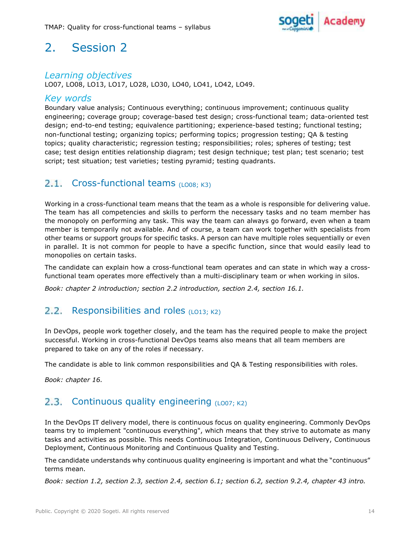

## Learning objectives

LO07, LO08, LO13, LO17, LO28, LO30, LO40, LO41, LO42, LO49.

#### Key words

Boundary value analysis; Continuous everything; continuous improvement; continuous quality engineering; coverage group; coverage-based test design; cross-functional team; data-oriented test design; end-to-end testing; equivalence partitioning; experience-based testing; functional testing; non-functional testing; organizing topics; performing topics; progression testing; QA & testing topics; quality characteristic; regression testing; responsibilities; roles; spheres of testing; test case; test design entities relationship diagram; test design technique; test plan; test scenario; test script; test situation; test varieties; testing pyramid; testing quadrants.

## 2.1. Cross-functional teams  $(L008; K3)$

Working in a cross-functional team means that the team as a whole is responsible for delivering value. The team has all competencies and skills to perform the necessary tasks and no team member has the monopoly on performing any task. This way the team can always go forward, even when a team member is temporarily not available. And of course, a team can work together with specialists from other teams or support groups for specific tasks. A person can have multiple roles sequentially or even in parallel. It is not common for people to have a specific function, since that would easily lead to monopolies on certain tasks.

The candidate can explain how a cross-functional team operates and can state in which way a crossfunctional team operates more effectively than a multi-disciplinary team or when working in silos.

Book: chapter 2 introduction; section 2.2 introduction, section 2.4, section 16.1.

#### Responsibilities and roles  $(L013; K2)$  $2.2.$

In DevOps, people work together closely, and the team has the required people to make the project successful. Working in cross-functional DevOps teams also means that all team members are prepared to take on any of the roles if necessary.

The candidate is able to link common responsibilities and QA & Testing responsibilities with roles.

Book: chapter 16.

#### Continuous quality engineering  $(L007; K2)$  $2.3.$

In the DevOps IT delivery model, there is continuous focus on quality engineering. Commonly DevOps teams try to implement "continuous everything", which means that they strive to automate as many tasks and activities as possible. This needs Continuous Integration, Continuous Delivery, Continuous Deployment, Continuous Monitoring and Continuous Quality and Testing.

The candidate understands why continuous quality engineering is important and what the "continuous" terms mean.

Book: section 1.2, section 2.3, section 2.4, section 6.1; section 6.2, section 9.2.4, chapter 43 intro.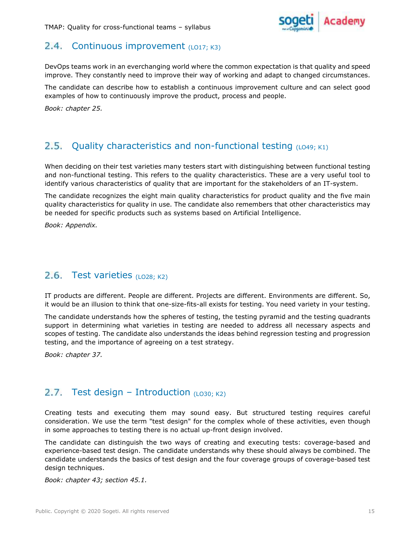

## 2.4. Continuous improvement  $(L017; K3)$

DevOps teams work in an everchanging world where the common expectation is that quality and speed improve. They constantly need to improve their way of working and adapt to changed circumstances.

The candidate can describe how to establish a continuous improvement culture and can select good examples of how to continuously improve the product, process and people.

Book: chapter 25.

#### $2.5.$ Quality characteristics and non-functional testing  $(LO49; K1)$

When deciding on their test varieties many testers start with distinguishing between functional testing and non-functional testing. This refers to the quality characteristics. These are a very useful tool to identify various characteristics of quality that are important for the stakeholders of an IT-system.

The candidate recognizes the eight main quality characteristics for product quality and the five main quality characteristics for quality in use. The candidate also remembers that other characteristics may be needed for specific products such as systems based on Artificial Intelligence.

Book: Appendix.

## 2.6. Test varieties (LO28; K2)

IT products are different. People are different. Projects are different. Environments are different. So, it would be an illusion to think that one-size-fits-all exists for testing. You need variety in your testing.

The candidate understands how the spheres of testing, the testing pyramid and the testing quadrants support in determining what varieties in testing are needed to address all necessary aspects and scopes of testing. The candidate also understands the ideas behind regression testing and progression testing, and the importance of agreeing on a test strategy.

Book: chapter 37.

## 2.7. Test design – Introduction  $(L030; K2)$

Creating tests and executing them may sound easy. But structured testing requires careful consideration. We use the term "test design" for the complex whole of these activities, even though in some approaches to testing there is no actual up-front design involved.

The candidate can distinguish the two ways of creating and executing tests: coverage-based and experience-based test design. The candidate understands why these should always be combined. The candidate understands the basics of test design and the four coverage groups of coverage-based test design techniques.

Book: chapter 43; section 45.1.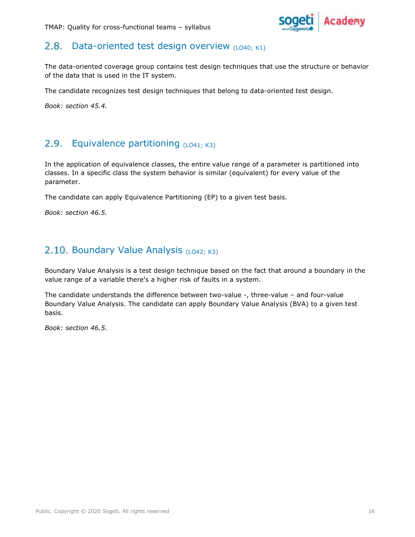

#### $2.8.$ Data-oriented test design overview  $(LO40; K1)$

The data-oriented coverage group contains test design techniques that use the structure or behavior of the data that is used in the IT system.

The candidate recognizes test design techniques that belong to data-oriented test design.

Book: section 45.4.

#### Equivalence partitioning  $(L041; K3)$  $2.9.$

In the application of equivalence classes, the entire value range of a parameter is partitioned into classes. In a specific class the system behavior is similar (equivalent) for every value of the parameter.

The candidate can apply Equivalence Partitioning (EP) to a given test basis.

Book: section 46.5.

## 2.10. Boundary Value Analysis  $(LO42; K3)$

Boundary Value Analysis is a test design technique based on the fact that around a boundary in the value range of a variable there's a higher risk of faults in a system.

The candidate understands the difference between two-value -, three-value – and four-value Boundary Value Analysis. The candidate can apply Boundary Value Analysis (BVA) to a given test basis.

Book: section 46.5.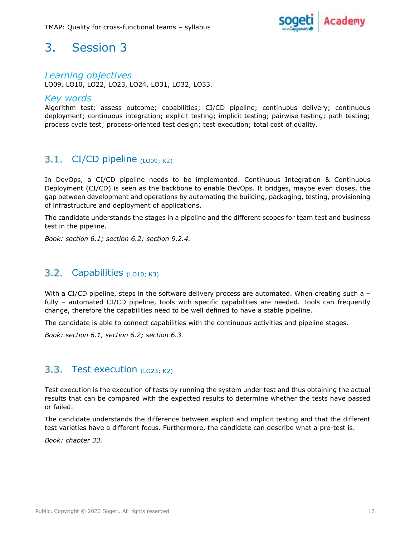

#### Learning objectives

LO09, LO10, LO22, LO23, LO24, LO31, LO32, LO33.

#### Key words

Algorithm test; assess outcome; capabilities; CI/CD pipeline; continuous delivery; continuous deployment; continuous integration; explicit testing; implicit testing; pairwise testing; path testing; process cycle test; process-oriented test design; test execution; total cost of quality.

## 3.1. CI/CD pipeline  $(LOO9; K2)$

In DevOps, a CI/CD pipeline needs to be implemented. Continuous Integration & Continuous Deployment (CI/CD) is seen as the backbone to enable DevOps. It bridges, maybe even closes, the gap between development and operations by automating the building, packaging, testing, provisioning of infrastructure and deployment of applications.

The candidate understands the stages in a pipeline and the different scopes for team test and business test in the pipeline.

Book: section 6.1; section 6.2; section 9.2.4.

#### $3.2.$ Capabilities  $(LQ10; K3)$

With a CI/CD pipeline, steps in the software delivery process are automated. When creating such a fully - automated CI/CD pipeline, tools with specific capabilities are needed. Tools can frequently change, therefore the capabilities need to be well defined to have a stable pipeline.

The candidate is able to connect capabilities with the continuous activities and pipeline stages.

Book: section 6.1, section 6.2; section 6.3.

#### 3.3. Test execution  $(LO23; K2)$

Test execution is the execution of tests by running the system under test and thus obtaining the actual results that can be compared with the expected results to determine whether the tests have passed or failed.

The candidate understands the difference between explicit and implicit testing and that the different test varieties have a different focus. Furthermore, the candidate can describe what a pre-test is.

Book: chapter 33.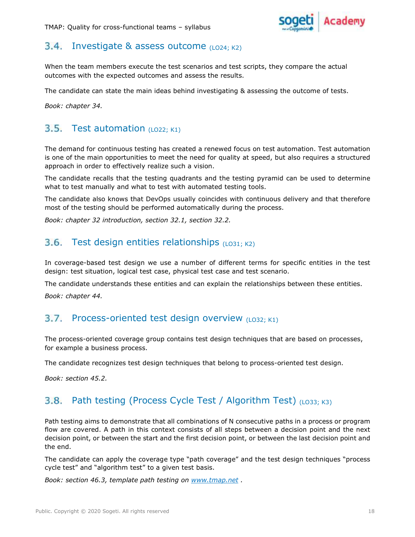

#### $3.4.$ Investigate & assess outcome  $(LO24; K2)$

When the team members execute the test scenarios and test scripts, they compare the actual outcomes with the expected outcomes and assess the results.

The candidate can state the main ideas behind investigating & assessing the outcome of tests.

Book: chapter 34.

#### $3.5.$ Test automation  $(LO22; K1)$

The demand for continuous testing has created a renewed focus on test automation. Test automation is one of the main opportunities to meet the need for quality at speed, but also requires a structured approach in order to effectively realize such a vision.

The candidate recalls that the testing quadrants and the testing pyramid can be used to determine what to test manually and what to test with automated testing tools.

The candidate also knows that DevOps usually coincides with continuous delivery and that therefore most of the testing should be performed automatically during the process.

Book: chapter 32 introduction, section 32.1, section 32.2.

## 3.6. Test design entities relationships  $(LO31; K2)$

In coverage-based test design we use a number of different terms for specific entities in the test design: test situation, logical test case, physical test case and test scenario.

The candidate understands these entities and can explain the relationships between these entities. Book: chapter 44.

#### $3.7.$ Process-oriented test design overview  $(L032; K1)$

The process-oriented coverage group contains test design techniques that are based on processes, for example a business process.

The candidate recognizes test design techniques that belong to process-oriented test design.

Book: section 45.2.

#### Path testing (Process Cycle Test / Algorithm Test) (LO33; K3)  $3.8.$

Path testing aims to demonstrate that all combinations of N consecutive paths in a process or program flow are covered. A path in this context consists of all steps between a decision point and the next decision point, or between the start and the first decision point, or between the last decision point and the end.

The candidate can apply the coverage type "path coverage" and the test design techniques "process cycle test" and "algorithm test" to a given test basis.

Book: section 46.3, template path testing on www.tmap.net.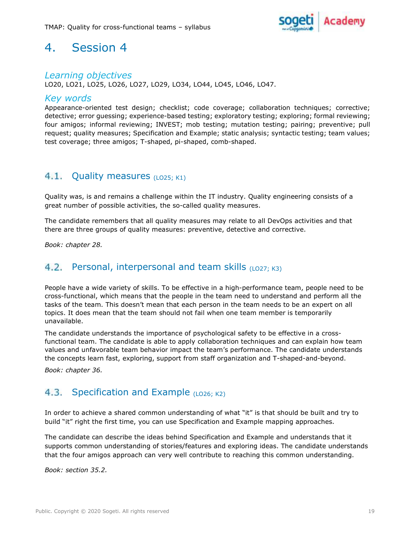

## Learning objectives

LO20, LO21, LO25, LO26, LO27, LO29, LO34, LO44, LO45, LO46, LO47.

#### Key words

Appearance-oriented test design; checklist; code coverage; collaboration techniques; corrective; detective; error guessing; experience-based testing; exploratory testing; exploring; formal reviewing; four amigos; informal reviewing; INVEST; mob testing; mutation testing; pairing; preventive; pull request; quality measures; Specification and Example; static analysis; syntactic testing; team values; test coverage; three amigos; T-shaped, pi-shaped, comb-shaped.

#### $4.1.$ Quality measures (LO25; K1)

Quality was, is and remains a challenge within the IT industry. Quality engineering consists of a great number of possible activities, the so-called quality measures.

The candidate remembers that all quality measures may relate to all DevOps activities and that there are three groups of quality measures: preventive, detective and corrective.

Book: chapter 28.

#### $4.2.$ Personal, interpersonal and team skills  $(LO27; K3)$

People have a wide variety of skills. To be effective in a high-performance team, people need to be cross-functional, which means that the people in the team need to understand and perform all the tasks of the team. This doesn't mean that each person in the team needs to be an expert on all topics. It does mean that the team should not fail when one team member is temporarily unavailable.

The candidate understands the importance of psychological safety to be effective in a crossfunctional team. The candidate is able to apply collaboration techniques and can explain how team values and unfavorable team behavior impact the team's performance. The candidate understands the concepts learn fast, exploring, support from staff organization and T-shaped-and-beyond.

Book: chapter 36.

#### $4.3.$ Specification and Example  $(LO26; K2)$

In order to achieve a shared common understanding of what "it" is that should be built and try to build "it" right the first time, you can use Specification and Example mapping approaches.

The candidate can describe the ideas behind Specification and Example and understands that it supports common understanding of stories/features and exploring ideas. The candidate understands that the four amigos approach can very well contribute to reaching this common understanding.

Book: section 35.2.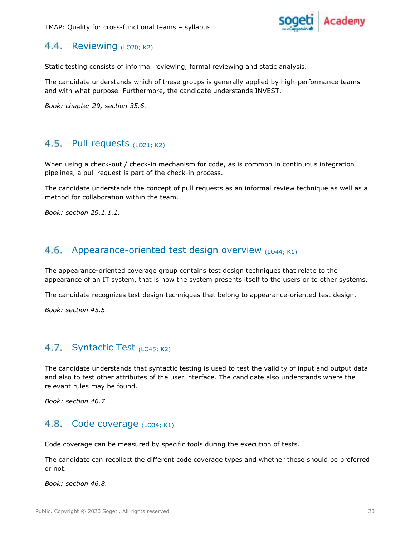

#### 4.4. Reviewing  $(LO20; K2)$

Static testing consists of informal reviewing, formal reviewing and static analysis.

The candidate understands which of these groups is generally applied by high-performance teams and with what purpose. Furthermore, the candidate understands INVEST.

Book: chapter 29, section 35.6.

#### 4.5. Pull requests  $(LO21; K2)$

When using a check-out / check-in mechanism for code, as is common in continuous integration pipelines, a pull request is part of the check-in process.

The candidate understands the concept of pull requests as an informal review technique as well as a method for collaboration within the team.

Book: section 29.1.1.1.

#### 4.6. Appearance-oriented test design overview  $(LO44; K1)$

The appearance-oriented coverage group contains test design techniques that relate to the appearance of an IT system, that is how the system presents itself to the users or to other systems.

The candidate recognizes test design techniques that belong to appearance-oriented test design.

Book: section 45.5.

## 4.7. Syntactic Test (LO45; K2)

The candidate understands that syntactic testing is used to test the validity of input and output data and also to test other attributes of the user interface. The candidate also understands where the relevant rules may be found.

Book: section 46.7.

#### 4.8. Code coverage  $(L034; K1)$

Code coverage can be measured by specific tools during the execution of tests.

The candidate can recollect the different code coverage types and whether these should be preferred or not.

Book: section 46.8.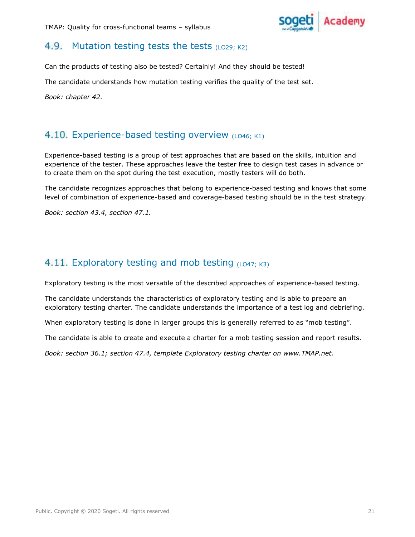

#### 4.9. Mutation testing tests the tests  $(LO29; K2)$

Can the products of testing also be tested? Certainly! And they should be tested!

The candidate understands how mutation testing verifies the quality of the test set.

# Book: chapter 42.<br>4.10. Experience-based testing overview (LO46; K1)

Experience-based testing is a group of test approaches that are based on the skills, intuition and experience of the tester. These approaches leave the tester free to design test cases in advance or to create them on the spot during the test execution, mostly testers will do both.

The candidate recognizes approaches that belong to experience-based testing and knows that some level of combination of experience-based and coverage-based testing should be in the test strategy.

Book: section 43.4, section 47.1.

## 4.11. Exploratory testing and mob testing  $(L047; K3)$

Exploratory testing is the most versatile of the described approaches of experience-based testing.

The candidate understands the characteristics of exploratory testing and is able to prepare an exploratory testing charter. The candidate understands the importance of a test log and debriefing.

When exploratory testing is done in larger groups this is generally referred to as "mob testing".

The candidate is able to create and execute a charter for a mob testing session and report results.

Book: section 36.1; section 47.4, template Exploratory testing charter on www.TMAP.net.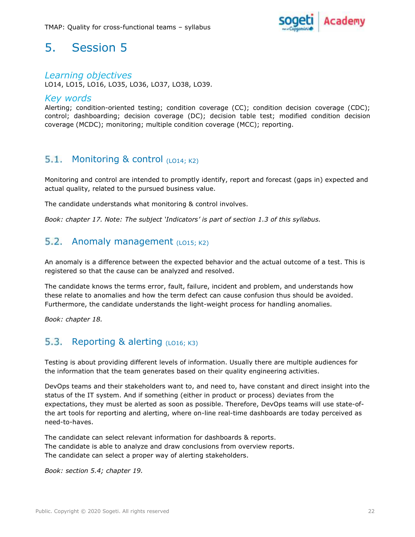

## Learning objectives

LO14, LO15, LO16, LO35, LO36, LO37, LO38, LO39.

#### Key words

Alerting; condition-oriented testing; condition coverage (CC); condition decision coverage (CDC); control; dashboarding; decision coverage (DC); decision table test; modified condition decision coverage (MCDC); monitoring; multiple condition coverage (MCC); reporting.

#### $5.1.$ Monitoring & control  $(LO14; K2)$

Monitoring and control are intended to promptly identify, report and forecast (gaps in) expected and actual quality, related to the pursued business value.

The candidate understands what monitoring & control involves.

Book: chapter 17. Note: The subject 'Indicators' is part of section 1.3 of this syllabus.

#### $5.2.$ Anomaly management (LO15; K2)

An anomaly is a difference between the expected behavior and the actual outcome of a test. This is registered so that the cause can be analyzed and resolved.

The candidate knows the terms error, fault, failure, incident and problem, and understands how these relate to anomalies and how the term defect can cause confusion thus should be avoided. Furthermore, the candidate understands the light-weight process for handling anomalies.

Book: chapter 18.

#### $5.3.$ Reporting  $&$  alerting  $(L016; K3)$

Testing is about providing different levels of information. Usually there are multiple audiences for the information that the team generates based on their quality engineering activities.

DevOps teams and their stakeholders want to, and need to, have constant and direct insight into the status of the IT system. And if something (either in product or process) deviates from the expectations, they must be alerted as soon as possible. Therefore, DevOps teams will use state-ofthe art tools for reporting and alerting, where on-line real-time dashboards are today perceived as need-to-haves.

The candidate can select relevant information for dashboards & reports. The candidate is able to analyze and draw conclusions from overview reports. The candidate can select a proper way of alerting stakeholders.

Book: section 5.4; chapter 19.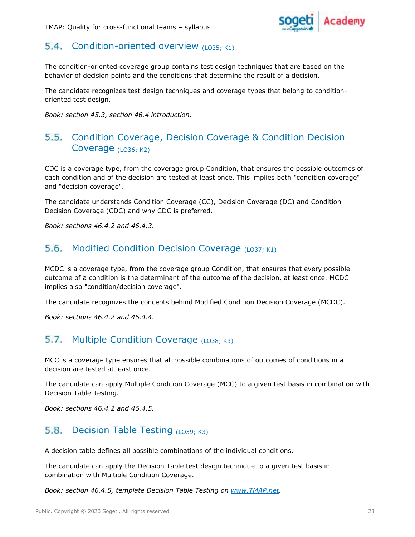

#### 5.4. Condition-oriented overview  $(L035; K1)$

The condition-oriented coverage group contains test design techniques that are based on the behavior of decision points and the conditions that determine the result of a decision.

The candidate recognizes test design techniques and coverage types that belong to conditionoriented test design.

Book: section 45.3, section 46.4 introduction.

## 5.5. Condition Coverage, Decision Coverage & Condition Decision Coverage (LO36; K2)

CDC is a coverage type, from the coverage group Condition, that ensures the possible outcomes of each condition and of the decision are tested at least once. This implies both "condition coverage" and "decision coverage".

The candidate understands Condition Coverage (CC), Decision Coverage (DC) and Condition Decision Coverage (CDC) and why CDC is preferred.

Book: sections 46.4.2 and 46.4.3.

## 5.6. Modified Condition Decision Coverage  $(LO37; K1)$

MCDC is a coverage type, from the coverage group Condition, that ensures that every possible outcome of a condition is the determinant of the outcome of the decision, at least once. MCDC implies also "condition/decision coverage".

The candidate recognizes the concepts behind Modified Condition Decision Coverage (MCDC).

Book: sections 46.4.2 and 46.4.4.

#### 5.7. **Multiple Condition Coverage (LO38: K3)**

MCC is a coverage type ensures that all possible combinations of outcomes of conditions in a decision are tested at least once.

The candidate can apply Multiple Condition Coverage (MCC) to a given test basis in combination with Decision Table Testing.

Book: sections 46.4.2 and 46.4.5.

## 5.8. Decision Table Testing  $(L039; K3)$

A decision table defines all possible combinations of the individual conditions.

The candidate can apply the Decision Table test design technique to a given test basis in combination with Multiple Condition Coverage.

Book: section 46.4.5, template Decision Table Testing on www.TMAP.net.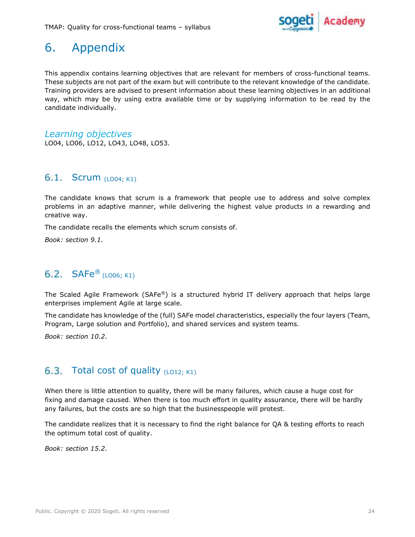

# 6. Appendix

This appendix contains learning objectives that are relevant for members of cross-functional teams. These subjects are not part of the exam but will contribute to the relevant knowledge of the candidate. Training providers are advised to present information about these learning objectives in an additional way, which may be by using extra available time or by supplying information to be read by the candidate individually.

Learning objectives LO04, LO06, LO12, LO43, LO48, LO53.

#### 6.1. Scrum  $(LO04; K1)$

The candidate knows that scrum is a framework that people use to address and solve complex problems in an adaptive manner, while delivering the highest value products in a rewarding and creative way.

The candidate recalls the elements which scrum consists of.

Book: section 9.1.

## 6.2.  $SAFe^®$  (LO06; K1)

The Scaled Agile Framework (SAFe®) is a structured hybrid IT delivery approach that helps large enterprises implement Agile at large scale.

The candidate has knowledge of the (full) SAFe model characteristics, especially the four layers (Team, Program, Large solution and Portfolio), and shared services and system teams.

Book: section 10.2.

## 6.3. Total cost of quality  $(L012; K1)$

When there is little attention to quality, there will be many failures, which cause a huge cost for fixing and damage caused. When there is too much effort in quality assurance, there will be hardly any failures, but the costs are so high that the businesspeople will protest.

The candidate realizes that it is necessary to find the right balance for QA & testing efforts to reach the optimum total cost of quality.

Book: section 15.2.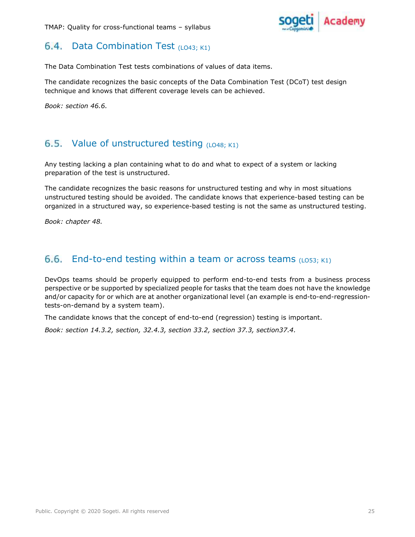

#### 6.4. Data Combination Test  $(L043; K1)$

The Data Combination Test tests combinations of values of data items.

The candidate recognizes the basic concepts of the Data Combination Test (DCoT) test design technique and knows that different coverage levels can be achieved.

Book: section 46.6.

## 6.5. Value of unstructured testing  $(LO48; K1)$

Any testing lacking a plan containing what to do and what to expect of a system or lacking preparation of the test is unstructured.

The candidate recognizes the basic reasons for unstructured testing and why in most situations unstructured testing should be avoided. The candidate knows that experience-based testing can be organized in a structured way, so experience-based testing is not the same as unstructured testing.

Book: chapter 48.

## 6.6. End-to-end testing within a team or across teams  $(L053; K1)$

DevOps teams should be properly equipped to perform end-to-end tests from a business process perspective or be supported by specialized people for tasks that the team does not have the knowledge and/or capacity for or which are at another organizational level (an example is end-to-end-regressiontests-on-demand by a system team).

The candidate knows that the concept of end-to-end (regression) testing is important.

Book: section 14.3.2, section, 32.4.3, section 33.2, section 37.3, section37.4.